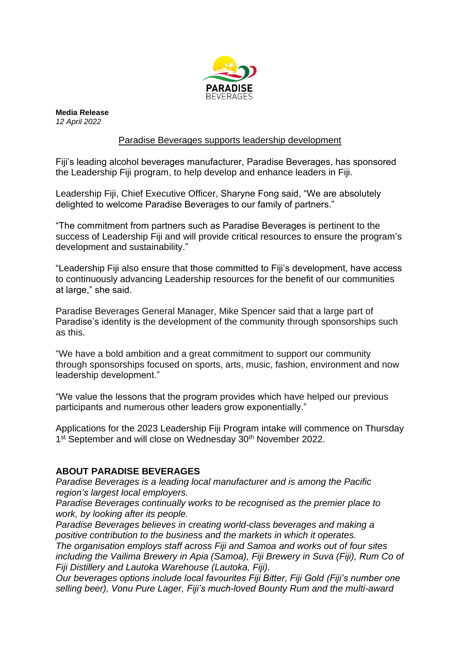

**Media Release** *12 April 2022*

## Paradise Beverages supports leadership development

Fiji's leading alcohol beverages manufacturer, Paradise Beverages, has sponsored the Leadership Fiji program, to help develop and enhance leaders in Fiji.

Leadership Fiji, Chief Executive Officer, Sharyne Fong said, "We are absolutely delighted to welcome Paradise Beverages to our family of partners."

"The commitment from partners such as Paradise Beverages is pertinent to the success of Leadership Fiji and will provide critical resources to ensure the program's development and sustainability."

"Leadership Fiji also ensure that those committed to Fiji's development, have access to continuously advancing Leadership resources for the benefit of our communities at large," she said.

Paradise Beverages General Manager, Mike Spencer said that a large part of Paradise's identity is the development of the community through sponsorships such as this.

"We have a bold ambition and a great commitment to support our community through sponsorships focused on sports, arts, music, fashion, environment and now leadership development."

"We value the lessons that the program provides which have helped our previous participants and numerous other leaders grow exponentially."

Applications for the 2023 Leadership Fiji Program intake will commence on Thursday 1<sup>st</sup> September and will close on Wednesday 30<sup>th</sup> November 2022.

# **ABOUT PARADISE BEVERAGES**

*Paradise Beverages is a leading local manufacturer and is among the Pacific region's largest local employers.*

*Paradise Beverages continually works to be recognised as the premier place to work, by looking after its people.* 

*Paradise Beverages believes in creating world-class beverages and making a positive contribution to the business and the markets in which it operates. The organisation employs staff across Fiji and Samoa and works out of four sites including the Vailima Brewery in Apia (Samoa), Fiji Brewery in Suva (Fiji), Rum Co of Fiji Distillery and Lautoka Warehouse (Lautoka, Fiji).*

*Our beverages options include local favourites Fiji Bitter, Fiji Gold (Fiji's number one selling beer), Vonu Pure Lager, Fiji's much-loved Bounty Rum and the multi-award*